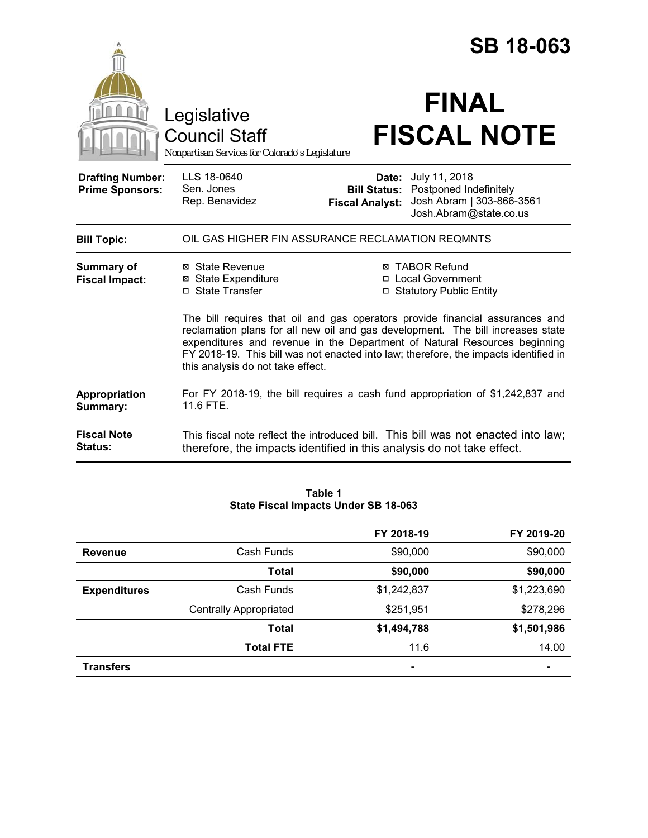|                                                   |                                                                                                                                                                                                                                                                                                                                                                            |                                                        | <b>SB 18-063</b>                                                                               |  |
|---------------------------------------------------|----------------------------------------------------------------------------------------------------------------------------------------------------------------------------------------------------------------------------------------------------------------------------------------------------------------------------------------------------------------------------|--------------------------------------------------------|------------------------------------------------------------------------------------------------|--|
|                                                   | Legislative<br><b>Council Staff</b><br>Nonpartisan Services for Colorado's Legislature                                                                                                                                                                                                                                                                                     |                                                        | <b>FINAL</b><br><b>FISCAL NOTE</b>                                                             |  |
| <b>Drafting Number:</b><br><b>Prime Sponsors:</b> | LLS 18-0640<br>Sen. Jones<br>Rep. Benavidez                                                                                                                                                                                                                                                                                                                                | Date:<br><b>Bill Status:</b><br><b>Fiscal Analyst:</b> | July 11, 2018<br>Postponed Indefinitely<br>Josh Abram   303-866-3561<br>Josh.Abram@state.co.us |  |
| <b>Bill Topic:</b>                                | OIL GAS HIGHER FIN ASSURANCE RECLAMATION REQMNTS                                                                                                                                                                                                                                                                                                                           |                                                        |                                                                                                |  |
| <b>Summary of</b><br><b>Fiscal Impact:</b>        | ⊠ State Revenue<br><b>⊠</b> State Expenditure<br>□ State Transfer                                                                                                                                                                                                                                                                                                          |                                                        | <b>⊠ TABOR Refund</b><br>□ Local Government<br>□ Statutory Public Entity                       |  |
|                                                   | The bill requires that oil and gas operators provide financial assurances and<br>reclamation plans for all new oil and gas development. The bill increases state<br>expenditures and revenue in the Department of Natural Resources beginning<br>FY 2018-19. This bill was not enacted into law; therefore, the impacts identified in<br>this analysis do not take effect. |                                                        |                                                                                                |  |
| Appropriation<br>Summary:                         | 11.6 FTE.                                                                                                                                                                                                                                                                                                                                                                  |                                                        | For FY 2018-19, the bill requires a cash fund appropriation of \$1,242,837 and                 |  |
| <b>Fiscal Note</b><br>Status:                     | therefore, the impacts identified in this analysis do not take effect.                                                                                                                                                                                                                                                                                                     |                                                        | This fiscal note reflect the introduced bill. This bill was not enacted into law;              |  |

| Table 1                              |  |
|--------------------------------------|--|
| State Fiscal Impacts Under SB 18-063 |  |

|                     |                               | FY 2018-19  | FY 2019-20  |
|---------------------|-------------------------------|-------------|-------------|
| <b>Revenue</b>      | Cash Funds                    | \$90,000    | \$90,000    |
|                     | <b>Total</b>                  | \$90,000    | \$90,000    |
| <b>Expenditures</b> | Cash Funds                    | \$1,242,837 | \$1,223,690 |
|                     | <b>Centrally Appropriated</b> | \$251,951   | \$278,296   |
|                     | <b>Total</b>                  | \$1,494,788 | \$1,501,986 |
|                     | <b>Total FTE</b>              | 11.6        | 14.00       |
| <b>Transfers</b>    |                               |             |             |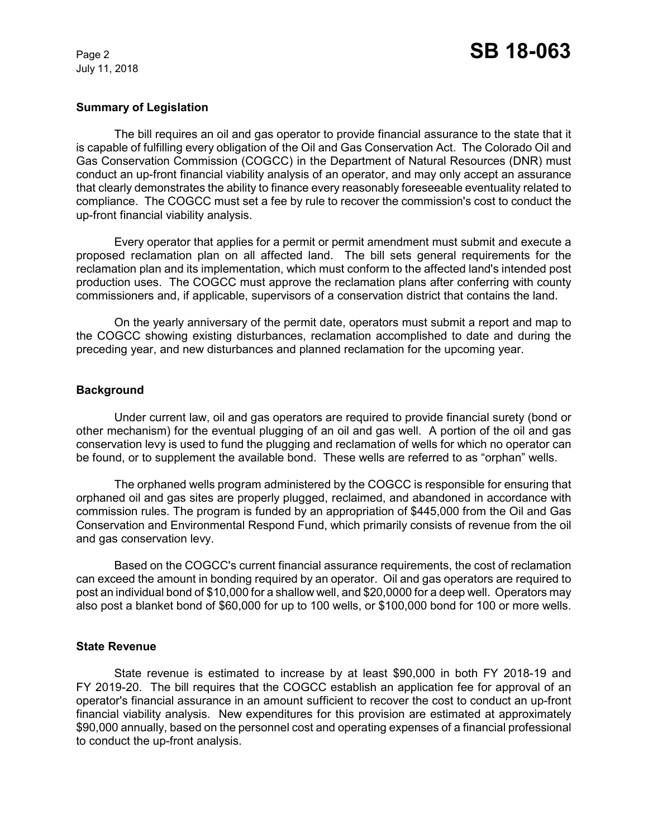July 11, 2018

### **Summary of Legislation**

The bill requires an oil and gas operator to provide financial assurance to the state that it is capable of fulfilling every obligation of the Oil and Gas Conservation Act. The Colorado Oil and Gas Conservation Commission (COGCC) in the Department of Natural Resources (DNR) must conduct an up-front financial viability analysis of an operator, and may only accept an assurance that clearly demonstrates the ability to finance every reasonably foreseeable eventuality related to compliance. The COGCC must set a fee by rule to recover the commission's cost to conduct the up-front financial viability analysis.

Every operator that applies for a permit or permit amendment must submit and execute a proposed reclamation plan on all affected land. The bill sets general requirements for the reclamation plan and its implementation, which must conform to the affected land's intended post production uses. The COGCC must approve the reclamation plans after conferring with county commissioners and, if applicable, supervisors of a conservation district that contains the land.

On the yearly anniversary of the permit date, operators must submit a report and map to the COGCC showing existing disturbances, reclamation accomplished to date and during the preceding year, and new disturbances and planned reclamation for the upcoming year.

#### **Background**

Under current law, oil and gas operators are required to provide financial surety (bond or other mechanism) for the eventual plugging of an oil and gas well. A portion of the oil and gas conservation levy is used to fund the plugging and reclamation of wells for which no operator can be found, or to supplement the available bond. These wells are referred to as "orphan" wells.

The orphaned wells program administered by the COGCC is responsible for ensuring that orphaned oil and gas sites are properly plugged, reclaimed, and abandoned in accordance with commission rules. The program is funded by an appropriation of \$445,000 from the Oil and Gas Conservation and Environmental Respond Fund, which primarily consists of revenue from the oil and gas conservation levy.

Based on the COGCC's current financial assurance requirements, the cost of reclamation can exceed the amount in bonding required by an operator. Oil and gas operators are required to post an individual bond of \$10,000 for a shallow well, and \$20,0000 for a deep well. Operators may also post a blanket bond of \$60,000 for up to 100 wells, or \$100,000 bond for 100 or more wells.

#### **State Revenue**

State revenue is estimated to increase by at least \$90,000 in both FY 2018-19 and FY 2019-20. The bill requires that the COGCC establish an application fee for approval of an operator's financial assurance in an amount sufficient to recover the cost to conduct an up-front financial viability analysis. New expenditures for this provision are estimated at approximately \$90,000 annually, based on the personnel cost and operating expenses of a financial professional to conduct the up-front analysis.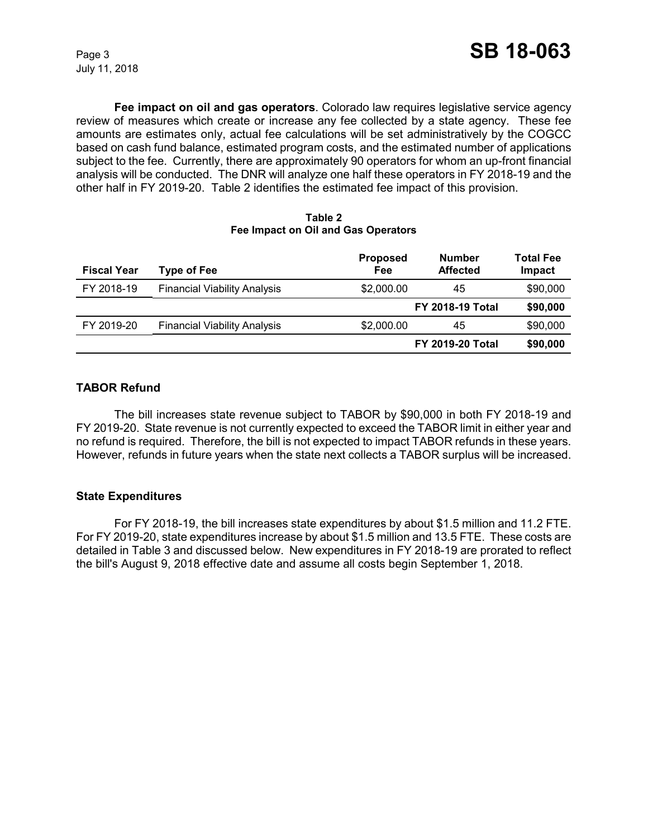**Fee impact on oil and gas operators**. Colorado law requires legislative service agency review of measures which create or increase any fee collected by a state agency. These fee amounts are estimates only, actual fee calculations will be set administratively by the COGCC based on cash fund balance, estimated program costs, and the estimated number of applications subject to the fee. Currently, there are approximately 90 operators for whom an up-front financial analysis will be conducted. The DNR will analyze one half these operators in FY 2018-19 and the other half in FY 2019-20. Table 2 identifies the estimated fee impact of this provision.

| Table 2                             |  |  |  |
|-------------------------------------|--|--|--|
| Fee Impact on Oil and Gas Operators |  |  |  |

| <b>Fiscal Year</b> | <b>Type of Fee</b>                  | <b>Proposed</b><br>Fee | <b>Number</b><br><b>Affected</b> | Total Fee<br>Impact |
|--------------------|-------------------------------------|------------------------|----------------------------------|---------------------|
| FY 2018-19         | <b>Financial Viability Analysis</b> | \$2,000.00             | 45                               | \$90,000            |
|                    |                                     |                        | <b>FY 2018-19 Total</b>          | \$90,000            |
| FY 2019-20         | <b>Financial Viability Analysis</b> | \$2,000.00             | 45                               | \$90,000            |
|                    |                                     |                        | <b>FY 2019-20 Total</b>          | \$90,000            |

### **TABOR Refund**

The bill increases state revenue subject to TABOR by \$90,000 in both FY 2018-19 and FY 2019-20. State revenue is not currently expected to exceed the TABOR limit in either year and no refund is required. Therefore, the bill is not expected to impact TABOR refunds in these years. However, refunds in future years when the state next collects a TABOR surplus will be increased.

#### **State Expenditures**

For FY 2018-19, the bill increases state expenditures by about \$1.5 million and 11.2 FTE. For FY 2019-20, state expenditures increase by about \$1.5 million and 13.5 FTE. These costs are detailed in Table 3 and discussed below. New expenditures in FY 2018-19 are prorated to reflect the bill's August 9, 2018 effective date and assume all costs begin September 1, 2018.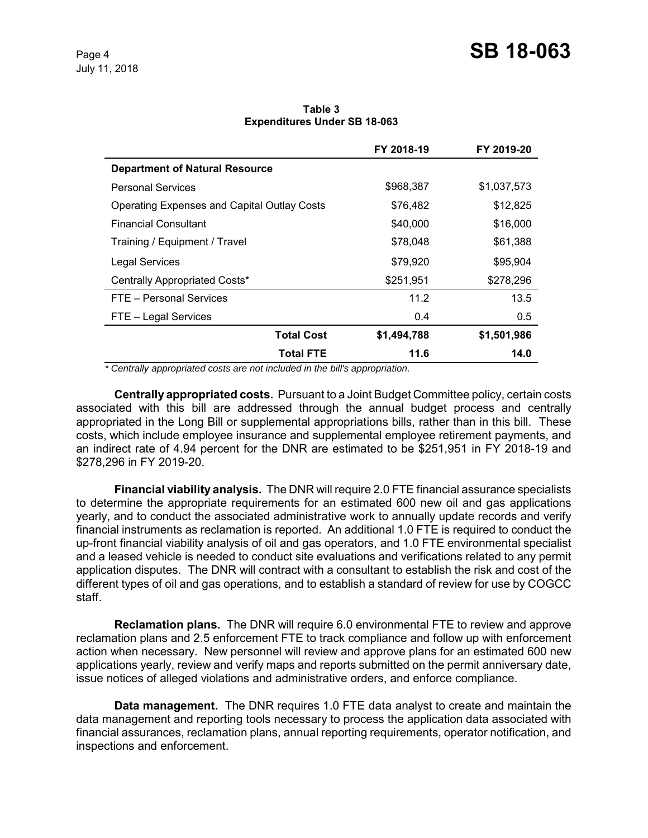**Table 3 Expenditures Under SB 18-063**

|                                                    | FY 2018-19  | FY 2019-20    |
|----------------------------------------------------|-------------|---------------|
| <b>Department of Natural Resource</b>              |             |               |
| <b>Personal Services</b>                           | \$968,387   | \$1,037,573   |
| <b>Operating Expenses and Capital Outlay Costs</b> | \$76,482    | \$12,825      |
| <b>Financial Consultant</b>                        | \$40,000    | \$16,000      |
| Training / Equipment / Travel                      | \$78,048    | \$61,388      |
| <b>Legal Services</b>                              | \$79,920    | \$95,904      |
| Centrally Appropriated Costs*                      | \$251,951   | \$278,296     |
| FTE - Personal Services                            | 11.2        | 13.5          |
| FTE - Legal Services                               | 0.4         | $0.5^{\circ}$ |
| <b>Total Cost</b>                                  | \$1,494,788 | \$1,501,986   |
| <b>Total FTE</b>                                   | 11.6        | 14.0          |

 *\* Centrally appropriated costs are not included in the bill's appropriation.*

**Centrally appropriated costs.** Pursuant to a Joint Budget Committee policy, certain costs associated with this bill are addressed through the annual budget process and centrally appropriated in the Long Bill or supplemental appropriations bills, rather than in this bill. These costs, which include employee insurance and supplemental employee retirement payments, and an indirect rate of 4.94 percent for the DNR are estimated to be \$251,951 in FY 2018-19 and \$278,296 in FY 2019-20.

**Financial viability analysis.** The DNR will require 2.0 FTE financial assurance specialists to determine the appropriate requirements for an estimated 600 new oil and gas applications yearly, and to conduct the associated administrative work to annually update records and verify financial instruments as reclamation is reported. An additional 1.0 FTE is required to conduct the up-front financial viability analysis of oil and gas operators, and 1.0 FTE environmental specialist and a leased vehicle is needed to conduct site evaluations and verifications related to any permit application disputes. The DNR will contract with a consultant to establish the risk and cost of the different types of oil and gas operations, and to establish a standard of review for use by COGCC staff.

**Reclamation plans.** The DNR will require 6.0 environmental FTE to review and approve reclamation plans and 2.5 enforcement FTE to track compliance and follow up with enforcement action when necessary. New personnel will review and approve plans for an estimated 600 new applications yearly, review and verify maps and reports submitted on the permit anniversary date, issue notices of alleged violations and administrative orders, and enforce compliance.

**Data management.** The DNR requires 1.0 FTE data analyst to create and maintain the data management and reporting tools necessary to process the application data associated with financial assurances, reclamation plans, annual reporting requirements, operator notification, and inspections and enforcement.